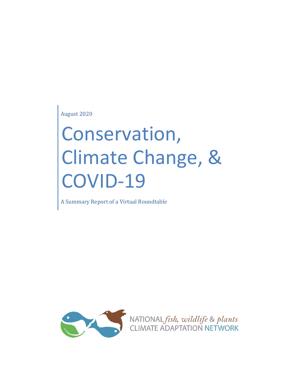August 2020

# Conservation, Climate Change, & OVID-19

A Summary Report of a Virtual Roundtable

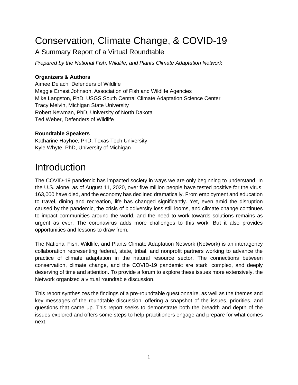## Conservation, Climate Change, & COVID-19

#### A Summary Report of a Virtual Roundtable

*Prepared by the National Fish, Wildlife, and Plants Climate Adaptation Network*

#### **Organizers & Authors**

Aimee Delach, Defenders of Wildlife Maggie Ernest Johnson, Association of Fish and Wildlife Agencies Mike Langston, PhD, USGS South Central Climate Adaptation Science Center Tracy Melvin, Michigan State University Robert Newman, PhD, University of North Dakota Ted Weber, Defenders of Wildlife

#### **Roundtable Speakers**

Katharine Hayhoe, PhD, Texas Tech University Kyle Whyte, PhD, University of Michigan

## **Introduction**

The COVID-19 pandemic has impacted society in ways we are only beginning to understand. In the U.S. alone, as of August 11, 2020, over five million people have tested positive for the virus, 163,000 have died, and the economy has declined dramatically. From employment and education to travel, dining and recreation, life has changed significantly. Yet, even amid the disruption caused by the pandemic, the crisis of biodiversity loss still looms, and climate change continues to impact communities around the world, and the need to work towards solutions remains as urgent as ever. The coronavirus adds more challenges to this work. But it also provides opportunities and lessons to draw from.

The National Fish, Wildlife, and Plants Climate Adaptation Network (Network) is an interagency collaboration representing federal, state, tribal, and nonprofit partners working to advance the practice of climate adaptation in the natural resource sector. The connections between conservation, climate change, and the COVID-19 pandemic are stark, complex, and deeply deserving of time and attention. To provide a forum to explore these issues more extensively, the Network organized a virtual roundtable discussion.

This report synthesizes the findings of a pre-roundtable questionnaire, as well as the themes and key messages of the roundtable discussion, offering a snapshot of the issues, priorities, and questions that came up. This report seeks to demonstrate both the breadth and depth of the issues explored and offers some steps to help practitioners engage and prepare for what comes next.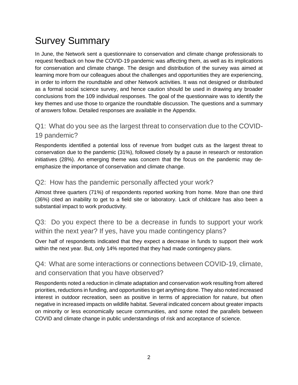# Survey Summary

In June, the Network sent a questionnaire to conservation and climate change professionals to request feedback on how the COVID-19 pandemic was affecting them, as well as its implications for conservation and climate change. The design and distribution of the survey was aimed at learning more from our colleagues about the challenges and opportunities they are experiencing, in order to inform the roundtable and other Network activities. It was not designed or distributed as a formal social science survey, and hence caution should be used in drawing any broader conclusions from the 109 individual responses. The goal of the questionnaire was to identify the key themes and use those to organize the roundtable discussion. The questions and a summary of answers follow. Detailed responses are available in the Appendix.

#### Q1: What do you see as the largest threat to conservation due to the COVID-19 pandemic?

Respondents identified a potential loss of revenue from budget cuts as the largest threat to conservation due to the pandemic (31%), followed closely by a pause in research or restoration initiatives (28%). An emerging theme was concern that the focus on the pandemic may deemphasize the importance of conservation and climate change.

#### Q2: How has the pandemic personally affected your work?

Almost three quarters (71%) of respondents reported working from home. More than one third (36%) cited an inability to get to a field site or laboratory. Lack of childcare has also been a substantial impact to work productivity.

Q3: Do you expect there to be a decrease in funds to support your work within the next year? If yes, have you made contingency plans?

Over half of respondents indicated that they expect a decrease in funds to support their work within the next year. But, only 14% reported that they had made contingency plans.

#### Q4: What are some interactions or connections between COVID-19, climate, and conservation that you have observed?

Respondents noted a reduction in climate adaptation and conservation work resulting from altered priorities, reductions in funding, and opportunities to get anything done. They also noted increased interest in outdoor recreation, seen as positive in terms of appreciation for nature, but often negative in increased impacts on wildlife habitat. Several indicated concern about greater impacts on minority or less economically secure communities, and some noted the parallels between COVID and climate change in public understandings of risk and acceptance of science.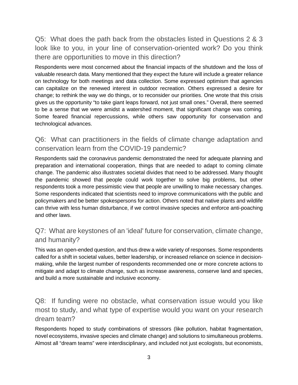Q5: What does the path back from the obstacles listed in Questions 2 & 3 look like to you, in your line of conservation-oriented work? Do you think there are opportunities to move in this direction?

Respondents were most concerned about the financial impacts of the shutdown and the loss of valuable research data. Many mentioned that they expect the future will include a greater reliance on technology for both meetings and data collection. Some expressed optimism that agencies can capitalize on the renewed interest in outdoor recreation. Others expressed a desire for change; to rethink the way we do things, or to reconsider our priorities. One wrote that this crisis gives us the opportunity "to take giant leaps forward, not just small ones." Overall, there seemed to be a sense that we were amidst a watershed moment, that significant change was coming. Some feared financial repercussions, while others saw opportunity for conservation and technological advances.

#### Q6: What can practitioners in the fields of climate change adaptation and conservation learn from the COVID-19 pandemic?

Respondents said the coronavirus pandemic demonstrated the need for adequate planning and preparation and international cooperation, things that are needed to adapt to coming climate change. The pandemic also illustrates societal divides that need to be addressed. Many thought the pandemic showed that people could work together to solve big problems, but other respondents took a more pessimistic view that people are unwilling to make necessary changes. Some respondents indicated that scientists need to improve communications with the public and policymakers and be better spokespersons for action. Others noted that native plants and wildlife can thrive with less human disturbance, if we control invasive species and enforce anti-poaching and other laws.

#### Q7: What are keystones of an 'ideal' future for conservation, climate change, and humanity?

This was an open-ended question, and thus drew a wide variety of responses. Some respondents called for a shift in societal values, better leadership, or increased reliance on science in decisionmaking, while the largest number of respondents recommended one or more concrete actions to mitigate and adapt to climate change, such as increase awareness, conserve land and species, and build a more sustainable and inclusive economy.

Q8: If funding were no obstacle, what conservation issue would you like most to study, and what type of expertise would you want on your research dream team?

Respondents hoped to study combinations of stressors (like pollution, habitat fragmentation, novel ecosystems, invasive species and climate change) and solutions to simultaneous problems. Almost all "dream teams" were interdisciplinary, and included not just ecologists, but economists,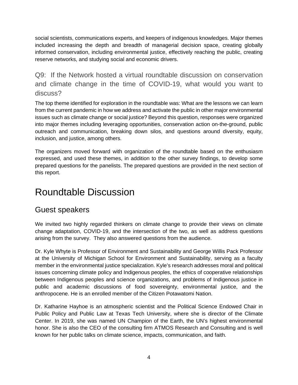social scientists, communications experts, and keepers of indigenous knowledges. Major themes included increasing the depth and breadth of managerial decision space, creating globally informed conservation, including environmental justice, effectively reaching the public, creating reserve networks, and studying social and economic drivers.

Q9: If the Network hosted a virtual roundtable discussion on conservation and climate change in the time of COVID-19, what would you want to discuss?

The top theme identified for exploration in the roundtable was: What are the lessons we can learn from the current pandemic in how we address and activate the public in other major environmental issues such as climate change or social justice? Beyond this question, responses were organized into major themes including leveraging opportunities, conservation action on-the-ground, public outreach and communication, breaking down silos, and questions around diversity, equity, inclusion, and justice, among others.

The organizers moved forward with organization of the roundtable based on the enthusiasm expressed, and used these themes, in addition to the other survey findings, to develop some prepared questions for the panelists. The prepared questions are provided in the next section of this report.

## Roundtable Discussion

## Guest speakers

We invited two highly regarded thinkers on climate change to provide their views on climate change adaptation, COVID-19, and the intersection of the two, as well as address questions arising from the survey. They also answered questions from the audience.

Dr. Kyle Whyte is Professor of Environment and Sustainability and George Willis Pack Professor at the University of Michigan School for Environment and Sustainability, serving as a faculty member in the environmental justice specialization. Kyle's research addresses moral and political issues concerning climate policy and Indigenous peoples, the ethics of cooperative relationships between Indigenous peoples and science organizations, and problems of Indigenous justice in public and academic discussions of food sovereignty, environmental justice, and the anthropocene. He is an enrolled member of the Citizen Potawatomi Nation.

Dr. Katharine Hayhoe is an atmospheric scientist and the Political Science Endowed Chair in Public Policy and Public Law at Texas Tech University, where she is director of the Climate Center. In 2019, she was named UN Champion of the Earth, the UN's highest environmental honor. She is also the CEO of the consulting firm ATMOS Research and Consulting and is well known for her public talks on climate science, impacts, communication, and faith.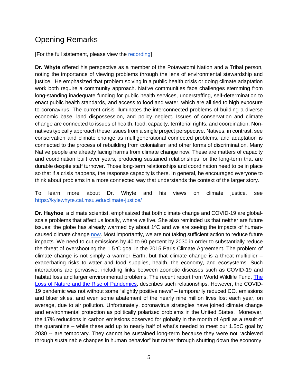## Opening Remarks

[For the full statement, please view the [recording\]](https://youtu.be/5SAWqZwgwzw)

**Dr. Whyte** offered his perspective as a member of the Potawatomi Nation and a Tribal person, noting the importance of viewing problems through the lens of environmental stewardship and justice. He emphasized that problem solving in a public health crisis or doing climate adaptation work both require a community approach. Native communities face challenges stemming from long-standing inadequate funding for public health services, understaffing, self-determination to enact public health standards, and access to food and water, which are all tied to high exposure to coronavirus. The current crisis illuminates the interconnected problems of building a diverse economic base, land dispossession, and policy neglect. Issues of conservation and climate change are connected to issues of health, food, capacity, territorial rights, and coordination. Nonnatives typically approach these issues from a single project perspective. Natives, in contrast, see conservation and climate change as multigenerational connected problems, and adaptation is connected to the process of rebuilding from colonialism and other forms of discrimination. Many Native people are already facing harms from climate change now. These are matters of capacity and coordination built over years, producing sustained relationships for the long-term that are durable despite staff turnover. Those long-term relationships and coordination need to be in place so that if a crisis happens, the response capacity is there. In general, he encouraged everyone to think about problems in a more connected way that understands the context of the larger story.

To learn more about Dr. Whyte and his views on climate justice, see <https://kylewhyte.cal.msu.edu/climate-justice/>

**Dr. Hayhoe**, a climate scientist, emphasized that both climate change and COVID-19 are globalscale problems that affect us locally, where we live. She also reminded us that neither are future issues: the globe has already warmed by about  $1^{\circ}$ C and we are seeing the impacts of humancaused climate change [now.](https://www.nytimes.com/2020/07/15/climate/siberia-heat-wave-climate-change.html) Most importantly, we are not taking sufficient action to reduce future impacts. We need to cut emissions by 40 to 60 percent by 2030 in order to substantially reduce the threat of overshooting the 1.5°C goal in the 2015 Paris Climate Agreement. The problem of climate change is not simply a warmer Earth, but that climate change is a threat multiplier – exacerbating risks to water and food supplies, health, the economy, and ecosystems. Such interactions are pervasive, including links between zoonotic diseases such as COVID-19 and habitat loss and larger environmental problems. The recent report from World Wildlife Fund, [The](https://wwf.panda.org/?361716)  [Loss of Nature and the Rise of Pandemics,](https://wwf.panda.org/?361716) describes such relationships. However, the COVID-19 pandemic was not without some "slightly positive news" – temporarily reduced  $CO<sub>2</sub>$  emissions and bluer skies, and even some abatement of the nearly nine million lives lost each year, on average, due to air pollution. Unfortunately, coronavirus strategies have joined climate change and environmental protection as politically polarized problems in the United States. Moreover, the 17% reductions in carbon emissions observed for globally in the month of April as a result of the quarantine – while these add up to nearly half of what's needed to meet our 1.5oC goal by 2030 -- are temporary. They cannot be sustained long-term because they were not "achieved through sustainable changes in human behavior" but rather through shutting down the economy,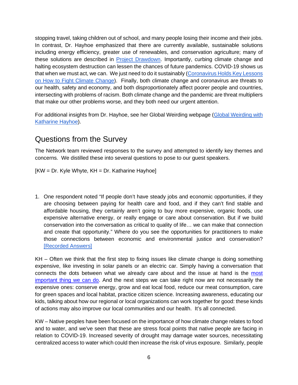stopping travel, taking children out of school, and many people losing their income and their jobs. In contrast, Dr. Hayhoe emphasized that there are currently available, sustainable solutions including energy efficiency, greater use of renewables, and conservation agriculture; many of these solutions are described in [Project Drawdown.](https://drawdown.org/) Importantly, curbing climate change and halting ecosystem destruction can lessen the chances of future pandemics. COVID-19 shows us that when we must act, we can. We just need to do it sustainably [\(Coronavirus Holds Key Lessons](https://e360.yale.edu/features/coronavirus-holds-key-lessons-on-how-to-fight-climate-change)  [on How to Fight Climate Change\)](https://e360.yale.edu/features/coronavirus-holds-key-lessons-on-how-to-fight-climate-change). Finally, both climate change and coronavirus are threats to our health, safety and economy, and both disproportionately affect poorer people and countries, intersecting with problems of racism. Both climate change and the pandemic are threat multipliers that make our other problems worse, and they both need our urgent attention.

For additional insights from Dr. Hayhoe, see her Global Weirding webpage (Global Weirding with [Katharine Hayhoe\)](https://www.youtube.com/channel/UCi6RkdaEqgRVKi3AzidF4ow).

## Questions from the Survey

The Network team reviewed responses to the survey and attempted to identify key themes and concerns. We distilled these into several questions to pose to our guest speakers.

 $KW = Dr$ . Kyle Whyte,  $KH = Dr$ . Katharine Hayhoe]

1. One respondent noted "If people don't have steady jobs and economic opportunities, if they are choosing between paying for health care and food, and if they can't find stable and affordable housing, they certainly aren't going to buy more expensive, organic foods, use expensive alternative energy, or really engage or care about conservation. But if we build conservation into the conversation as critical to quality of life… we can make that connection and create that opportunity." Where do you see the opportunities for practitioners to make those connections between economic and environmental justice and conservation? [\[Recorded Answers\]](https://youtu.be/5SAWqZwgwzw?t=2354)

KH – Often we think that the first step to fixing issues like climate change is doing something expensive, like investing in solar panels or an electric car. Simply having a conversation that connects the dots between what we already care about and the issue at hand is the [most](https://www.ted.com/talks/katharine_hayhoe_the_most_important_thing_you_can_do_to_fight_climate_change_talk_about_it?language=en)  [important thing we can do.](https://www.ted.com/talks/katharine_hayhoe_the_most_important_thing_you_can_do_to_fight_climate_change_talk_about_it?language=en) And the next steps we can take right now are not necessarily the expensive ones: conserve energy, grow and eat local food, reduce our meat consumption, care for green spaces and local habitat, practice citizen science. Increasing awareness, educating our kids, talking about how our regional or local organizations can work together for good: these kinds of actions may also improve our local communities and our health. It's all connected.

KW – Native peoples have been focused on the importance of how climate change relates to food and to water, and we've seen that these are stress focal points that native people are facing in relation to COVID-19. Increased severity of drought may damage water sources, necessitating centralized access to water which could then increase the risk of virus exposure. Similarly, people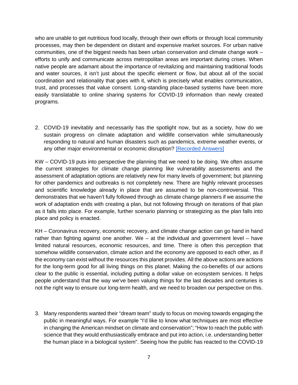who are unable to get nutritious food locally, through their own efforts or through local community processes, may then be dependent on distant and expensive market sources. For urban native communities, one of the biggest needs has been urban conservation and climate change work – efforts to unify and communicate across metropolitan areas are important during crises. When native people are adamant about the importance of revitalizing and maintaining traditional foods and water sources, it isn't just about the specific element or flow, but about all of the social coordination and relationality that goes with it, which is precisely what enables communication, trust, and processes that value consent. Long-standing place-based systems have been more easily translatable to online sharing systems for COVID-19 information than newly created programs.

2. COVID-19 inevitably and necessarily has the spotlight now, but as a society, how do we sustain progress on climate adaptation and wildlife conservation while simultaneously responding to natural and human disasters such as pandemics, extreme weather events, or any other major environmental or economic disruption? [\[Recorded Answers\]](https://youtu.be/5SAWqZwgwzw?t=2640)

KW – COVID-19 puts into perspective the planning that we need to be doing. We often assume the current strategies for climate change planning like vulnerability assessments and the assessment of adaptation options are relatively new for many levels of government; but planning for other pandemics and outbreaks is not completely new. There are highly relevant processes and scientific knowledge already in place that are assumed to be non-controversial. This demonstrates that we haven't fully followed through as climate change planners if we assume the work of adaptation ends with creating a plan, but not following through on iterations of that plan as it falls into place. For example, further scenario planning or strategizing as the plan falls into place and policy is enacted.

KH – Coronavirus recovery, economic recovery, and climate change action can go hand in hand rather than fighting against one another. We – at the individual and government level – have limited natural resources, economic resources, and time. There is often this perception that somehow wildlife conservation, climate action and the economy are opposed to each other, as if the economy can exist without the resources this planet provides. All the above actions are actions for the long-term good for all living things on this planet. Making the co-benefits of our actions clear to the public is essential, including putting a dollar value on ecosystem services. It helps people understand that the way we've been valuing things for the last decades and centuries is not the right way to ensure our long-term health, and we need to broaden our perspective on this.

3. Many respondents wanted their "dream team" study to focus on moving towards engaging the public in meaningful ways. For example "I'd like to know what techniques are most effective in changing the American mindset on climate and conservation"; "How to reach the public with science that they would enthusiastically embrace and put into action, i.e. understanding better the human place in a biological system". Seeing how the public has reacted to the COVID-19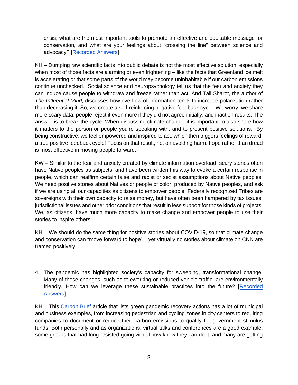crisis, what are the most important tools to promote an effective and equitable message for conservation, and what are your feelings about "crossing the line" between science and advocacy? [\[Recorded Answers\]](https://youtu.be/5SAWqZwgwzw?t=2880)

KH – Dumping raw scientific facts into public debate is not the most effective solution, especially when most of those facts are alarming or even frightening – like the facts that Greenland ice melt is accelerating or that some parts of the world may become uninhabitable if our carbon emissions continue unchecked. Social science and neuropsychology tell us that the fear and anxiety they can induce cause people to withdraw and freeze rather than act. And Tali Sharot, the author of *The Influential Mind,* discusses how overflow of information tends to increase polarization rather than decreasing it. So, we create a self-reinforcing negative feedback cycle: We worry, we share more scary data, people reject it even more if they did not agree initially, and inaction results. The answer is to break the cycle. When discussing climate change, it is important to also share how it matters to the person or people you're speaking with, and to present positive solutions. By being constructive, we feel empowered and inspired to act, which then triggers feelings of reward: a true positive feedback cycle! Focus on that result, not on avoiding harm: hope rather than dread is most effective in moving people forward.

KW – Similar to the fear and anxiety created by climate information overload, scary stories often have Native peoples as subjects, and have been written this way to evoke a certain response in people, which can reaffirm certain false and racist or sexist assumptions about Native peoples. We need positive stories about Natives or people of color, produced by Native peoples, and ask if we are using all our capacities as citizens to empower people. Federally recognized Tribes are sovereigns with their own capacity to raise money, but have often been hampered by tax issues, jurisdictional issues and other prior conditions that result in less support for those kinds of projects. We, as citizens, have much more capacity to make change and empower people to use their stories to inspire others.

KH – We should do the same thing for positive stories about COVID-19, so that climate change and conservation can "move forward to hope" – yet virtually no stories about climate on CNN are framed positively.

4. The pandemic has highlighted society's capacity for sweeping, transformational change. Many of these changes, such as teleworking or reduced vehicle traffic, are environmentally friendly. How can we leverage these sustainable practices into the future? [\[Recorded](https://youtu.be/5SAWqZwgwzw?t=3356)  **Answers** 

KH – This [Carbon Brief](https://www.carbonbrief.org/coronavirus-tracking-how-the-worlds-green-recovery-plans-aim-to-cut-emissions) article that lists green pandemic recovery actions has a lot of municipal and business examples, from increasing pedestrian and cycling zones in city centers to requiring companies to document or reduce their carbon emissions to qualify for government stimulus funds. Both personally and as organizations, virtual talks and conferences are a good example: some groups that had long resisted going virtual now know they can do it, and many are getting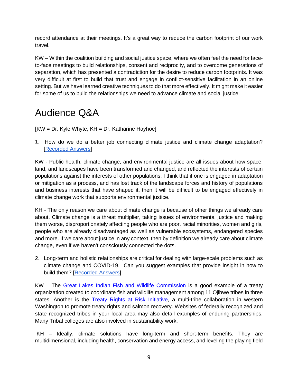record attendance at their meetings. It's a great way to reduce the carbon footprint of our work travel.

KW – Within the coalition building and social justice space, where we often feel the need for faceto-face meetings to build relationships, consent and reciprocity, and to overcome generations of separation, which has presented a contradiction for the desire to reduce carbon footprints. It was very difficult at first to build that trust and engage in conflict-sensitive facilitation in an online setting. But we have learned creative techniques to do that more effectively. It might make it easier for some of us to build the relationships we need to advance climate and social justice.

# Audience Q&A

 $KW = Dr$ . Kyle Whyte,  $KH = Dr$ . Katharine Hayhoe]

1. How do we do a better job connecting climate justice and climate change adaptation? [\[Recorded Answers\]](https://youtu.be/5SAWqZwgwzw?t=3671)

KW - Public health, climate change, and environmental justice are all issues about how space, land, and landscapes have been transformed and changed, and reflected the interests of certain populations against the interests of other populations. I think that if one is engaged in adaptation or mitigation as a process, and has lost track of the landscape forces and history of populations and business interests that have shaped it, then it will be difficult to be engaged effectively in climate change work that supports environmental justice.

KH - The only reason we care about climate change is because of other things we already care about. Climate change is a threat multiplier, taking issues of environmental justice and making them worse, disproportionately affecting people who are poor, racial minorities, women and girls, people who are already disadvantaged as well as vulnerable ecosystems, endangered species and more. If we care about justice in any context, then by definition we already care about climate change, even if we haven't consciously connected the dots.

2. Long-term and holistic relationships are critical for dealing with large-scale problems such as climate change and COVID-19. Can you suggest examples that provide insight in how to build them? [\[Recorded Answers\]](https://youtu.be/5SAWqZwgwzw?t=3844)

KW – The [Great Lakes Indian Fish and Wildlife Commission](https://www.glifwc.org/) is a good example of a treaty organization created to coordinate fish and wildlife management among 11 Ojibwe tribes in three states. Another is the [Treaty Rights at Risk Initiative, a multi-tribe collaboration in western](http://treatyrightsatrisk.org/)  [Washington to promote treaty rights and salmon recovery.](http://treatyrightsatrisk.org/) Websites of federally recognized and state recognized tribes in your local area may also detail examples of enduring partnerships. Many Tribal colleges are also involved in sustainability work.

KH – Ideally, climate solutions have long-term and short-term benefits. They are multidimensional, including health, conservation and energy access, and leveling the playing field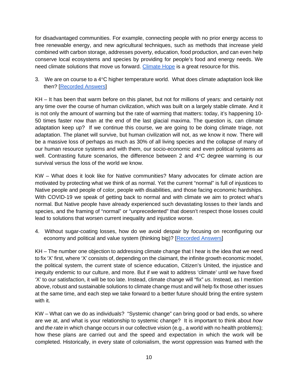for disadvantaged communities. For example, connecting people with no prior energy access to free renewable energy, and new agricultural techniques, such as methods that increase yield combined with carbon storage, addresses poverty, education, food production, and can even help conserve local ecosystems and species by providing for people's food and energy needs. We need climate solutions that move us forward. [Climate Hope](https://www.climateone.org/video/climate-hope) is a great resource for this.

3. We are on course to a  $4^{\circ}$ C higher temperature world. What does climate adaptation look like then? [\[Recorded Answers\]](https://youtu.be/5SAWqZwgwzw?t=4106)

KH – It has been that warm before on this planet, but not for millions of years: and certainly not any time over the course of human civilization, which was built on a largely stable climate. And it is not only the amount of warming but the rate of warming that matters: today, it's happening 10- 50 times faster now than at the end of the last glacial maxima. The question is, can climate adaptation keep up? If we continue this course, we are going to be doing climate triage, not adaptation. The planet will survive, but human civilization will not, as we know it now. There will be a massive loss of perhaps as much as 30% of all living species and the collapse of many of our human resource systems and with them, our socio-economic and even political systems as well. Contrasting future scenarios, the difference between 2 and 4°C degree warming is our survival versus the loss of the world we know.

KW – What does it look like for Native communities? Many advocates for climate action are motivated by protecting what we think of as normal. Yet the current "normal" is full of injustices to Native people and people of color, people with disabilities, and those facing economic hardships. With COVID-19 we speak of getting back to normal and with climate we aim to protect what's normal. But Native people have already experienced such devastating losses to their lands and species, and the framing of "normal" or "unprecedented" that doesn't respect those losses could lead to solutions that worsen current inequality and injustice worse.

4. Without sugar-coating losses, how do we avoid despair by focusing on reconfiguring our economy and political and value system (thinking big)? [\[Recorded Answers\]](https://youtu.be/5SAWqZwgwzw?t=4613)

KH – The number one objection to addressing climate change that I hear is the idea that we need to fix 'X' first, where 'X' consists of, depending on the claimant, the infinite growth economic model, the political system, the current state of science education, Citizen's United, the injustice and inequity endemic to our culture, and more. But if we wait to address 'climate' until we have fixed 'X' to our satisfaction, it will be too late. Instead, climate change will "fix" *us*. Instead, as I mention above, robust and sustainable solutions to climate change must and will help fix those other issues at the same time, and each step we take forward to a better future should bring the entire system with it.

KW – What can we do as individuals? "Systemic change" can bring good or bad ends, so where are we at, and what is your relationship to systemic change? It is important to think about *how* and *the rate* in which change occurs in our collective vision (e.g., a world with no health problems); how these plans are carried out and the speed and expectation in which the work will be completed. Historically, in every state of colonialism, the worst oppression was framed with the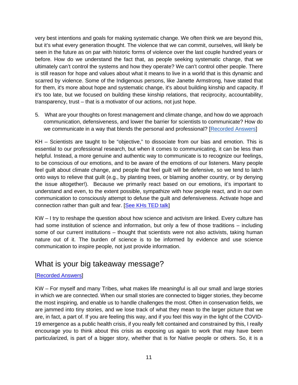very best intentions and goals for making systematic change. We often think we are beyond this, but it's what every generation thought. The violence that we can commit, ourselves, will likely be seen in the future as on par with historic forms of violence over the last couple hundred years or before. How do we understand the fact that, as people seeking systematic change, that we ultimately can't control the systems and how they operate? We can't control other people. There is still reason for hope and values about what it means to live in a world that is this dynamic and scarred by violence. Some of the Indigenous persons, like Janette Armstrong, have stated that for them, it's more about hope and systematic change, it's about building kinship and capacity. If it's too late, but we focused on building these kinship relations, that reciprocity, accountability, transparency, trust – that is a motivator of our actions, not just hope.

5. What are your thoughts on forest management and climate change, and how do we approach communication, defensiveness, and lower the barrier for scientists to communicate? How do we communicate in a way that blends the personal and professional? [\[Recorded Answers\]](https://youtu.be/5SAWqZwgwzw?t=4993)

KH - Scientists are taught to be "objective," to dissociate from our bias and emotion. This is essential to our professional research, but when it comes to communicating, it can be less than helpful. Instead, a more genuine and authentic way to communicate is to recognize our feelings, to be conscious of our emotions, and to be aware of the emotions of our listeners. Many people feel guilt about climate change, and people that feel guilt will be defensive, so we tend to latch onto ways to relieve that guilt (e.g., by planting trees, or blaming another country, or by denying the issue altogether!). Because we primarily react based on our emotions, it's important to understand and even, to the extent possible, sympathize with how people react, and in our own communication to consciously attempt to defuse the guilt and defensiveness. Activate hope and connection rather than guilt and fear. [\[See KHs TED talk\]](https://www.youtube.com/watch?v=-BvcToPZCLI)

KW – I try to reshape the question about how science and activism are linked. Every culture has had some institution of science and information, but only a few of those traditions – including some of our current institutions – thought that scientists were not also activists, taking human nature out of it. The burden of science is to be informed by evidence and use science communication to inspire people, not just provide information.

## What is your big takeaway message?

#### [\[Recorded Answers\]](https://youtu.be/5SAWqZwgwzw?t=5465)

KW – For myself and many Tribes, what makes life meaningful is all our small and large stories in which we are connected. When our small stories are connected to bigger stories, they become the most inspiring, and enable us to handle challenges the most. Often in conservation fields, we are jammed into tiny stories, and we lose track of what they mean to the larger picture that we are, in fact, a part of. If you are feeling this way, and if you feel this way in the light of the COVID-19 emergence as a public health crisis, if you really felt contained and constrained by this, I really encourage you to think about this crisis as exposing us again to work that may have been particularized, is part of a bigger story, whether that is for Native people or others. So, it is a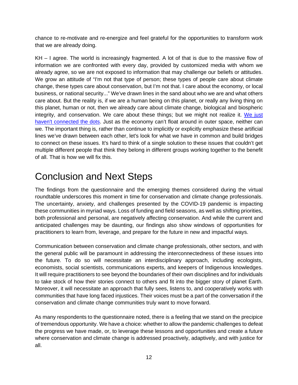chance to re-motivate and re-energize and feel grateful for the opportunities to transform work that we are already doing.

KH – I agree. The world is increasingly fragmented. A lot of that is due to the massive flow of information we are confronted with every day, provided by customized media with whom we already agree, so we are not exposed to information that may challenge our beliefs or attitudes. We grow an attitude of "I'm not that type of person; these types of people care about climate change, these types care about conservation, but I'm not that. I care about the economy, or local business, or national security..." We've drawn lines in the sand about who we are and what others care about. But the reality is, if we are a human being on this planet, or really any living thing on this planet, human or not, then we already care about climate change, biological and biospheric integrity, and conservation. We care about these things; but we might not realize it. [We just](https://foreignpolicy.com/2017/05/31/everyone-believes-in-global-warming-they-just-dont-realize-it/)  [haven't connected the dots.](https://foreignpolicy.com/2017/05/31/everyone-believes-in-global-warming-they-just-dont-realize-it/) Just as the economy can't float around in outer space, neither can we. The important thing is, rather than continue to implicitly or explicitly emphasize these artificial lines we've drawn between each other, let's look for what we have in common and build bridges to connect on these issues. It's hard to think of a single solution to these issues that couldn't get multiple different people that think they belong in different groups working together to the benefit of all. That is how we will fix this.

## Conclusion and Next Steps

The findings from the questionnaire and the emerging themes considered during the virtual roundtable underscores this moment in time for conservation and climate change professionals. The uncertainty, anxiety, and challenges presented by the COVID-19 pandemic is impacting these communities in myriad ways. Loss of funding and field seasons, as well as shifting priorities, both professional and personal, are negatively affecting conservation. And while the current and anticipated challenges may be daunting, our findings also show windows of opportunities for practitioners to learn from, leverage, and prepare for the future in new and impactful ways.

Communication between conservation and climate change professionals, other sectors, and with the general public will be paramount in addressing the interconnectedness of these issues into the future. To do so will necessitate an interdisciplinary approach, including ecologists, economists, social scientists, communications experts, and keepers of Indigenous knowledges. It will require practitioners to see beyond the boundaries of their own disciplines and for individuals to take stock of how their stories connect to others and fit into the bigger story of planet Earth. Moreover, it will necessitate an approach that fully sees, listens to, and cooperatively works with communities that have long faced injustices. Their voices must be a part of the conversation if the conservation and climate change communities truly want to move forward.

As many respondents to the questionnaire noted, there is a feeling that we stand on the precipice of tremendous opportunity. We have a choice: whether to allow the pandemic challenges to defeat the progress we have made, or, to leverage these lessons and opportunities and create a future where conservation and climate change is addressed proactively, adaptively, and with justice for all.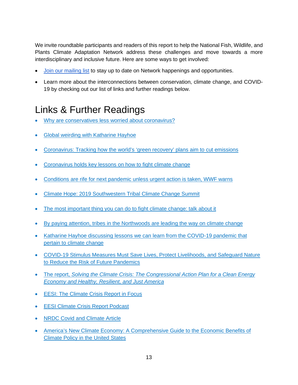We invite roundtable participants and readers of this report to help the National Fish, Wildlife, and Plants Climate Adaptation Network address these challenges and move towards a more interdisciplinary and inclusive future. Here are some ways to get involved:

- [Join our mailing list](https://visitor.r20.constantcontact.com/d.jsp?llr=vr4zo6cab&p=oi&m=vr4zo6cab&sit=cc8cywkeb&f=cec97f69-9359-4c41-89e9-4b4679bd07a2) to stay up to date on Network happenings and opportunities.
- Learn more about the interconnections between conservation, climate change, and COVID-19 by checking out our list of links and further readings below.

## Links & Further Readings

- [Why are conservatives less worried about coronavirus?](https://urldefense.com/v3/__https:/www.psychologytoday.com/us/blog/polarized/202003/why-are-conservatives-less-worried-about-coronavirus__;!!HXCxUKc!lRE39cfsIs_GTPPHw-GiYa3sLW4UAn-D48yAY71zyTRt4zwa__-duhhP7Oa_kh8$)
- [Global weirding with Katharine Hayhoe](https://urldefense.com/v3/__https:/www.youtube.com/channel/UCi6RkdaEqgRVKi3AzidF4ow__;!!HXCxUKc!lRE39cfsIs_GTPPHw-GiYa3sLW4UAn-D48yAY71zyTRt4zwa__-duhhPVifyCww$)
- [Coronavirus: Tracking how the world's 'green recovery' plans aim to](https://urldefense.com/v3/__https:/www.carbonbrief.org/coronavirus-tracking-how-the-worlds-green-recovery-plans-aim-to-cut-emissions__;!!HXCxUKc!lRE39cfsIs_GTPPHw-GiYa3sLW4UAn-D48yAY71zyTRt4zwa__-duhhPE-9iuS0$) cut emissions
- [Coronavirus holds key lessons on how to fight climate change](https://urldefense.com/v3/__https:/e360.yale.edu/features/coronavirus-holds-key-lessons-on-how-to-fight-climate-change__;!!HXCxUKc!lRE39cfsIs_GTPPHw-GiYa3sLW4UAn-D48yAY71zyTRt4zwa__-duhhPejKzXjo$)
- [Conditions are rife for next pandemic unless urgent action is taken, WWF warns](https://urldefense.com/v3/__https:/wwf.panda.org/wwf_news/press_releases/?364416*Conditions-are-rife-for-next-pandemic-unless-urgent-action-is-taken-WWF-warns__;Lw!!HXCxUKc!lRE39cfsIs_GTPPHw-GiYa3sLW4UAn-D48yAY71zyTRt4zwa__-duhhP3ZqnJc4$)
- [Climate Hope: 2019 Southwestern Tribal Climate Change Summit](https://urldefense.com/v3/__https:/youtu.be/t0G6EwQcFqY__;!!HXCxUKc!lRE39cfsIs_GTPPHw-GiYa3sLW4UAn-D48yAY71zyTRt4zwa__-duhhPdFQ_nw4$)
- [The most important thing you can do to fight climate change: talk about it](https://urldefense.com/v3/__https:/www.ted.com/talks/katharine_hayhoe_the_most_important_thing_you_can_do_to_fight_climate_change_talk_about_it?language=en__;!!HXCxUKc!lRE39cfsIs_GTPPHw-GiYa3sLW4UAn-D48yAY71zyTRt4zwa__-duhhPu1hcjxI$)
- [By paying attention, tribes in the Northwoods are leading the way on climate change](https://yaleclimateconnections.org/2020/06/by-paying-attention-tribes-in-the-northwoods-are-leading-the-way-on-climate-change/?ct=t(EMAIL_CAMPAIGN_DAILY_060820))
- [Katharine Hayhoe discussing lessons we can learn from the COVID-19 pandemic that](https://www.youtube.com/watch?v=ezx5ltIvNhs&feature=youtu.be)  [pertain to climate change](https://www.youtube.com/watch?v=ezx5ltIvNhs&feature=youtu.be)
- [COVID-19 Stimulus Measures Must Save Lives, Protect Livelihoods, and Safeguard Nature](https://ipbes.net/covid19stimulus)  [to Reduce the Risk of Future Pandemics](https://ipbes.net/covid19stimulus)
- The report, *[Solving the Climate Crisis: The Congressional Action Plan for a Clean Energy](https://climatecrisis.house.gov/report)  [Economy and Healthy, Resilient, and Just America](https://climatecrisis.house.gov/report)*
- **[EESI: The Climate Crisis Report in Focus](http://www.eesi.org/071420crisis)**
- **[EESI Climate Crisis Report Podcast](https://podcasts.apple.com/us/podcast/environmental-energy-study/id944019710)**
- **[NRDC Covid and Climate Article](https://www.nrdc.org/experts/khalil-shahyd/covid-19-climate-lessons-climate-justice)**
- [America's New Climate Economy: A Comprehensive Guide to the Economic Benefits of](https://urldefense.com/v3/__https:/connect.wri.org/e/120942/ication-us-new-climate-economy/4tbp9r/1006387808?h=dQVlHN8iQ3W3dkiiYMX2NG9zaI0TWSfgCG80gWbyQoE__;!!HXCxUKc!iH7PKfNt1Lyobzb92--9MHZDie0ehawEdd-ARjiEBwhaQQsQb854BCfGU52OflA$)  [Climate Policy in the United States](https://urldefense.com/v3/__https:/connect.wri.org/e/120942/ication-us-new-climate-economy/4tbp9r/1006387808?h=dQVlHN8iQ3W3dkiiYMX2NG9zaI0TWSfgCG80gWbyQoE__;!!HXCxUKc!iH7PKfNt1Lyobzb92--9MHZDie0ehawEdd-ARjiEBwhaQQsQb854BCfGU52OflA$)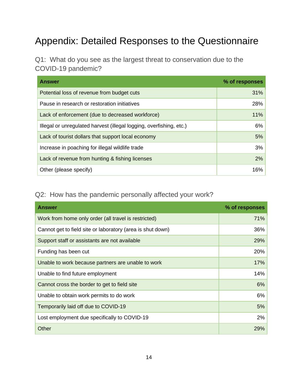# Appendix: Detailed Responses to the Questionnaire

Q1: What do you see as the largest threat to conservation due to the COVID-19 pandemic?

| <b>Answer</b>                                                       | % of responses |
|---------------------------------------------------------------------|----------------|
| Potential loss of revenue from budget cuts                          | 31%            |
| Pause in research or restoration initiatives                        | 28%            |
| Lack of enforcement (due to decreased workforce)                    | 11%            |
| Illegal or unregulated harvest (illegal logging, overfishing, etc.) | 6%             |
| Lack of tourist dollars that support local economy                  | 5%             |
| Increase in poaching for illegal wildlife trade                     | 3%             |
| Lack of revenue from hunting & fishing licenses                     | 2%             |
| Other (please specify)                                              | 16%            |

#### Q2: How has the pandemic personally affected your work?

| <b>Answer</b>                                              | % of responses |
|------------------------------------------------------------|----------------|
| Work from home only order (all travel is restricted)       | 71%            |
| Cannot get to field site or laboratory (area is shut down) | 36%            |
| Support staff or assistants are not available              | 29%            |
| Funding has been cut                                       | 20%            |
| Unable to work because partners are unable to work         | 17%            |
| Unable to find future employment                           | 14%            |
| Cannot cross the border to get to field site               | 6%             |
| Unable to obtain work permits to do work                   | 6%             |
| Temporarily laid off due to COVID-19                       | 5%             |
| Lost employment due specifically to COVID-19               | 2%             |
| Other                                                      | 29%            |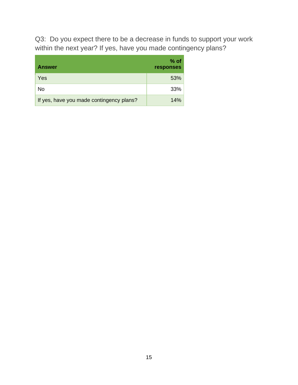Q3: Do you expect there to be a decrease in funds to support your work within the next year? If yes, have you made contingency plans?

| <b>Answer</b>                            | % of<br>responses |
|------------------------------------------|-------------------|
| Yes                                      | 53%               |
| No                                       | 33%               |
| If yes, have you made contingency plans? | 14%               |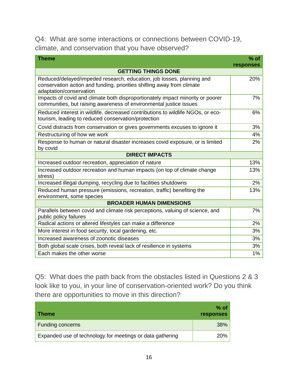#### Q4: What are some interactions or connections between COVID-19, climate, and conservation that you have observed?

| <b>Theme</b>                                                                                                                                                               | $%$ of    |
|----------------------------------------------------------------------------------------------------------------------------------------------------------------------------|-----------|
|                                                                                                                                                                            | responses |
| <b>GETTING THINGS DONE</b>                                                                                                                                                 |           |
| Reduced/delayed/impeded research, education, job losses, planning and<br>conservation action and funding, priorities shifting away from climate<br>adaptation/conservation | 20%       |
| Impacts of covid and climate both disproportionately impact minority or poorer<br>communities, but raising awareness of environmental justice issues                       | 7%        |
| Reduced interest in wildlife, decreased contributions to wildlife NGOs, or eco-<br>tourism, leading to reduced conservation/protection                                     | 6%        |
| Covid distracts from conservation or gives governments excuses to ignore it                                                                                                | 3%        |
| Restructuring of how we work                                                                                                                                               | 4%        |
| Response to human or natural disaster increases covid exposure, or is limited<br>by covid                                                                                  | 2%        |
| <b>DIRECT IMPACTS</b>                                                                                                                                                      |           |
| Increased outdoor recreation, appreciation of nature                                                                                                                       | 13%       |
| Increased outdoor recreation and human impacts (on top of climate change<br>stress)                                                                                        | 13%       |
| Increased illegal dumping, recycling due to facilities shutdowns                                                                                                           | 2%        |
| Reduced human pressure (emissions, recreation, traffic) benefiting the<br>environment, some species                                                                        | 13%       |
| <b>BROADER HUMAN DIMENSIONS</b>                                                                                                                                            |           |
| Parallels between covid and climate risk perceptions, valuing of science, and<br>public policy failures                                                                    | 7%        |
| Radical actions or altered lifestyles can make a difference                                                                                                                | 2%        |
| More interest in food security, local gardening, etc.                                                                                                                      | 3%        |
| Increased awareness of zoonotic diseases                                                                                                                                   | 3%        |
| Both global scale crises, both reveal lack of resilience in systems                                                                                                        | 3%        |
| Each makes the other worse                                                                                                                                                 | $1\%$     |

Q5: What does the path back from the obstacles listed in Questions 2 & 3 look like to you, in your line of conservation-oriented work? Do you think there are opportunities to move in this direction?

| <b>Theme</b>                                              | $%$ of<br><b>responses</b> |
|-----------------------------------------------------------|----------------------------|
| <b>Funding concerns</b>                                   | 38%                        |
| Expanded use of technology for meetings or data gathering | <b>20%</b>                 |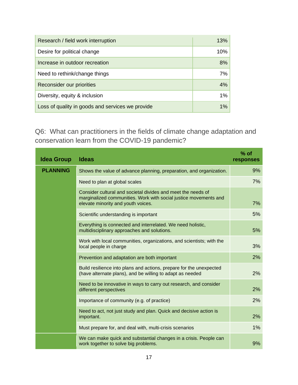| Research / field work interruption               | 13%   |
|--------------------------------------------------|-------|
| Desire for political change                      | 10%   |
| Increase in outdoor recreation                   | 8%    |
| Need to rethink/change things                    | 7%    |
| Reconsider our priorities                        | 4%    |
| Diversity, equity & inclusion                    | $1\%$ |
| Loss of quality in goods and services we provide | $1\%$ |

Q6: What can practitioners in the fields of climate change adaptation and conservation learn from the COVID-19 pandemic?

| <b>Idea Group</b> | <b>Ideas</b>                                                                                                                                                           | $%$ of<br>responses |
|-------------------|------------------------------------------------------------------------------------------------------------------------------------------------------------------------|---------------------|
| <b>PLANNING</b>   | Shows the value of advance planning, preparation, and organization.                                                                                                    | 9%                  |
|                   | Need to plan at global scales                                                                                                                                          | 7%                  |
|                   | Consider cultural and societal divides and meet the needs of<br>marginalized communities. Work with social justice movements and<br>elevate minority and youth voices. | 7%                  |
|                   | Scientific understanding is important                                                                                                                                  | 5%                  |
|                   | Everything is connected and interrelated. We need holistic,<br>multidisciplinary approaches and solutions.                                                             | 5%                  |
|                   | Work with local communities, organizations, and scientists; with the<br>local people in charge                                                                         | 3%                  |
|                   | Prevention and adaptation are both important                                                                                                                           | 2%                  |
|                   | Build resilience into plans and actions, prepare for the unexpected<br>(have alternate plans), and be willing to adapt as needed                                       | 2%                  |
|                   | Need to be innovative in ways to carry out research, and consider<br>different perspectives                                                                            | 2%                  |
|                   | Importance of community (e.g. of practice)                                                                                                                             | 2%                  |
|                   | Need to act, not just study and plan. Quick and decisive action is<br>important.                                                                                       | 2%                  |
|                   | Must prepare for, and deal with, multi-crisis scenarios                                                                                                                | 1%                  |
|                   | We can make quick and substantial changes in a crisis. People can<br>work together to solve big problems.                                                              | 9%                  |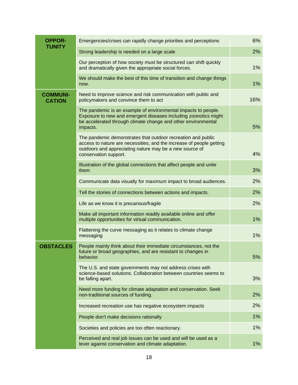| <b>OPPOR-</b>                    | Emergencies/crises can rapidly change priorities and perceptions                                                                                                                                                         | 6%  |
|----------------------------------|--------------------------------------------------------------------------------------------------------------------------------------------------------------------------------------------------------------------------|-----|
| <b>TUNITY</b>                    | Strong leadership is needed on a large scale                                                                                                                                                                             | 2%  |
|                                  | Our perception of how society must be structured can shift quickly<br>and dramatically given the appropriate social forces.                                                                                              | 1%  |
|                                  | We should make the best of this time of transition and change things<br>now.                                                                                                                                             | 1%  |
| <b>COMMUNI-</b><br><b>CATION</b> | Need to improve science and risk communication with public and<br>policymakers and convince them to act                                                                                                                  | 16% |
|                                  | The pandemic is an example of environmental impacts to people.<br>Exposure to new and emergent diseases including zoonotics might<br>be accelerated through climate change and other environmental<br>impacts.           | 5%  |
|                                  | The pandemic demonstrates that outdoor recreation and public<br>access to nature are necessities; and the increase of people getting<br>outdoors and appreciating nature may be a new source of<br>conservation support. | 4%  |
|                                  | Illustration of the global connections that affect people and unite<br>them                                                                                                                                              | 3%  |
|                                  | Communicate data visually for maximum impact to broad audiences.                                                                                                                                                         | 2%  |
|                                  | Tell the stories of connections between actions and impacts.                                                                                                                                                             | 2%  |
|                                  | Life as we know it is precarious/fragile                                                                                                                                                                                 | 2%  |
|                                  | Make all important information readily available online and offer<br>multiple opportunities for virtual communication.                                                                                                   | 1%  |
|                                  | Flattening the curve messaging as it relates to climate change<br>messaging                                                                                                                                              | 1%  |
| <b>OBSTACLES</b>                 | People mainly think about their immediate circumstances, not the<br>future or broad geographies, and are resistant to changes in<br>behavior.                                                                            | 5%  |
|                                  | The U.S. and state governments may not address crises with<br>science-based solutions. Collaboration between countries seems to<br>be falling apart.                                                                     | 3%  |
|                                  | Need more funding for climate adaptation and conservation. Seek<br>non-traditional sources of funding.                                                                                                                   | 2%  |
|                                  | Increased recreation use has negative ecosystem impacts                                                                                                                                                                  | 2%  |
|                                  | People don't make decisions rationally                                                                                                                                                                                   | 1%  |
|                                  | Societies and policies are too often reactionary.                                                                                                                                                                        | 1%  |
|                                  | Perceived and real job issues can be used and will be used as a<br>lever against conservation and climate adaptation.                                                                                                    | 1%  |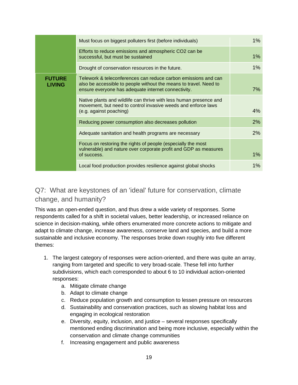|                                | Must focus on biggest polluters first (before individuals)                                                                                                                                 | $1\%$ |
|--------------------------------|--------------------------------------------------------------------------------------------------------------------------------------------------------------------------------------------|-------|
|                                | Efforts to reduce emissions and atmospheric CO2 can be<br>successful, but must be sustained                                                                                                | $1\%$ |
|                                | Drought of conservation resources in the future.                                                                                                                                           | $1\%$ |
| <b>FUTURE</b><br><b>LIVING</b> | Telework & teleconferences can reduce carbon emissions and can<br>also be accessible to people without the means to travel. Need to<br>ensure everyone has adequate internet connectivity. | 7%    |
|                                | Native plants and wildlife can thrive with less human presence and<br>movement, but need to control invasive weeds and enforce laws<br>(e.g. against poaching)                             | 4%    |
|                                | Reducing power consumption also decreases pollution                                                                                                                                        | 2%    |
|                                | Adequate sanitation and health programs are necessary                                                                                                                                      | 2%    |
|                                | Focus on restoring the rights of people (especially the most<br>vulnerable) and nature over corporate profit and GDP as measures<br>of success.                                            | $1\%$ |
|                                | Local food production provides resilience against global shocks                                                                                                                            | 1%    |

#### Q7: What are keystones of an 'ideal' future for conservation, climate change, and humanity?

This was an open-ended question, and thus drew a wide variety of responses. Some respondents called for a shift in societal values, better leadership, or increased reliance on science in decision-making, while others enumerated more concrete actions to mitigate and adapt to climate change, increase awareness, conserve land and species, and build a more sustainable and inclusive economy. The responses broke down roughly into five different themes:

- 1. The largest category of responses were action-oriented, and there was quite an array, ranging from targeted and specific to very broad-scale. These fell into further subdivisions, which each corresponded to about 6 to 10 individual action-oriented responses:
	- a. Mitigate climate change
	- b. Adapt to climate change
	- c. Reduce population growth and consumption to lessen pressure on resources
	- d. Sustainability and conservation practices, such as slowing habitat loss and engaging in ecological restoration
	- e. Diversity, equity, inclusion, and justice several responses specifically mentioned ending discrimination and being more inclusive, especially within the conservation and climate change communities
	- f. Increasing engagement and public awareness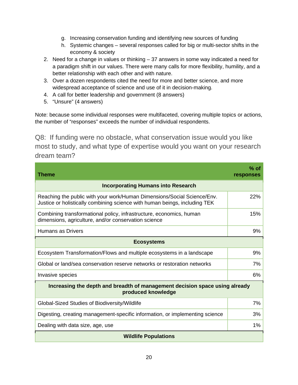- g. Increasing conservation funding and identifying new sources of funding
- h. Systemic changes several responses called for big or multi-sector shifts in the economy & society
- 2. Need for a change in values or thinking 37 answers in some way indicated a need for a paradigm shift in our values. There were many calls for more flexibility, humility, and a better relationship with each other and with nature.
- 3. Over a dozen respondents cited the need for more and better science, and more widespread acceptance of science and use of it in decision-making.
- 4. A call for better leadership and government (8 answers)
- 5. "Unsure" (4 answers)

Note: because some individual responses were multifaceted, covering multiple topics or actions, the number of "responses" exceeds the number of individual respondents.

Q8: If funding were no obstacle, what conservation issue would you like most to study, and what type of expertise would you want on your research dream team?

| Theme                                                                                                                                                 | $%$ of<br>responses |  |
|-------------------------------------------------------------------------------------------------------------------------------------------------------|---------------------|--|
| <b>Incorporating Humans into Research</b>                                                                                                             |                     |  |
| Reaching the public with your work/Human Dimensions/Social Science/Env.<br>Justice or holistically combining science with human beings, including TEK | 22%                 |  |
| Combining transformational policy, infrastructure, economics, human<br>dimensions, agriculture, and/or conservation science                           | 15%                 |  |
| Humans as Drivers                                                                                                                                     | 9%                  |  |
| <b>Ecosystems</b>                                                                                                                                     |                     |  |
| Ecosystem Transformation/Flows and multiple ecosystems in a landscape                                                                                 | 9%                  |  |
| Global or land/sea conservation reserve networks or restoration networks                                                                              | 7%                  |  |
| Invasive species                                                                                                                                      | 6%                  |  |
| Increasing the depth and breadth of management decision space using already<br>produced knowledge                                                     |                     |  |
| Global-Sized Studies of Biodiversity/Wildlife                                                                                                         | 7%                  |  |
| Digesting, creating management-specific information, or implementing science                                                                          | 3%                  |  |
| Dealing with data size, age, use                                                                                                                      | 1%                  |  |
| <b>Wildlife Populations</b>                                                                                                                           |                     |  |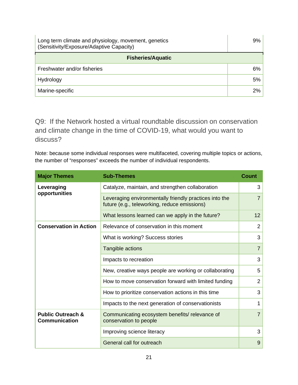| Long term climate and physiology, movement, genetics<br>(Sensitivity/Exposure/Adaptive Capacity) |    |  |
|--------------------------------------------------------------------------------------------------|----|--|
| <b>Fisheries/Aquatic</b>                                                                         |    |  |
| Freshwater and/or fisheries                                                                      | 6% |  |
| Hydrology                                                                                        | 5% |  |
| Marine-specific                                                                                  | 2% |  |

Q9: If the Network hosted a virtual roundtable discussion on conservation and climate change in the time of COVID-19, what would you want to discuss?

Note: because some individual responses were multifaceted, covering multiple topics or actions, the number of "responses" exceeds the number of individual respondents.

| <b>Major Themes</b>                                  | <b>Sub-Themes</b>                                                                                      | <b>Count</b>   |
|------------------------------------------------------|--------------------------------------------------------------------------------------------------------|----------------|
| Leveraging<br>opportunities                          | Catalyze, maintain, and strengthen collaboration                                                       | 3              |
|                                                      | Leveraging environmentally friendly practices into the<br>future (e.g., teleworking, reduce emissions) | $\overline{7}$ |
|                                                      | What lessons learned can we apply in the future?                                                       | 12             |
| <b>Conservation in Action</b>                        | Relevance of conservation in this moment                                                               | $\overline{2}$ |
|                                                      | What is working? Success stories                                                                       | 3              |
|                                                      | Tangible actions                                                                                       | $\overline{7}$ |
|                                                      | Impacts to recreation                                                                                  | 3              |
|                                                      | New, creative ways people are working or collaborating                                                 | 5              |
|                                                      | How to move conservation forward with limited funding                                                  | $\overline{2}$ |
|                                                      | How to prioritize conservation actions in this time                                                    | 3              |
|                                                      | Impacts to the next generation of conservationists                                                     | 1              |
| <b>Public Outreach &amp;</b><br><b>Communication</b> | Communicating ecosystem benefits/relevance of<br>conservation to people                                | $\overline{7}$ |
|                                                      | Improving science literacy                                                                             | 3              |
|                                                      | General call for outreach                                                                              | 9              |